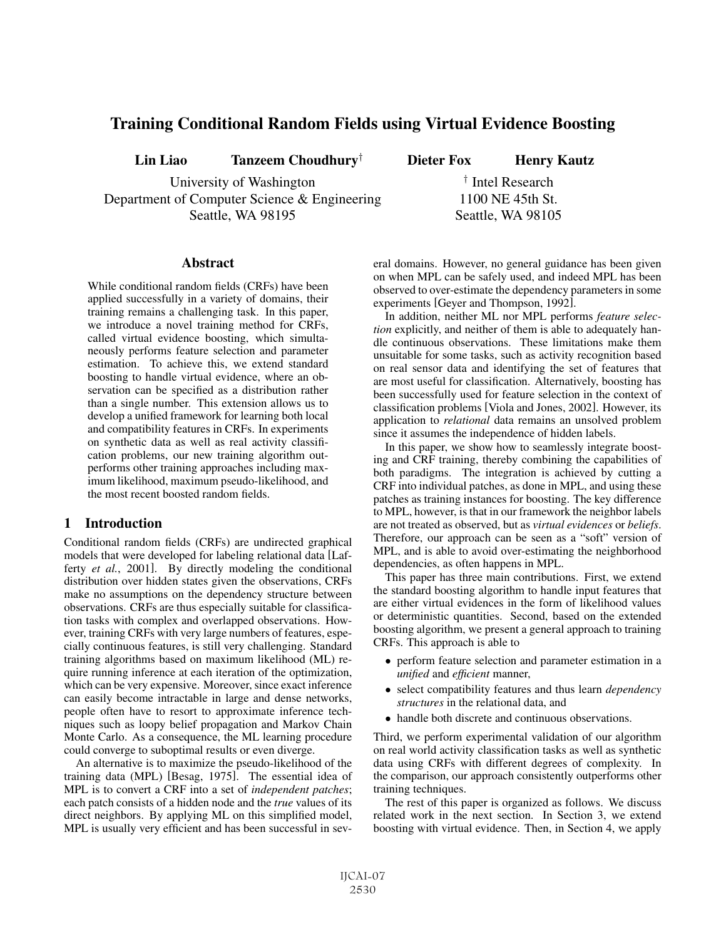# Training Conditional Random Fields using Virtual Evidence Boosting

Lin Liao Tanzeem Choudhury<sup>†</sup> Dieter Fox Henry Kautz

University of Washington  $\frac{1}{\sqrt{2}}$  Intel Research Department of Computer Science & Engineering 1100 NE 45th St. Seattle, WA 98195 Seattle, WA 98105

### **Abstract**

While conditional random fields (CRFs) have been applied successfully in a variety of domains, their training remains a challenging task. In this paper, we introduce a novel training method for CRFs, called virtual evidence boosting, which simultaneously performs feature selection and parameter estimation. To achieve this, we extend standard boosting to handle virtual evidence, where an observation can be specified as a distribution rather than a single number. This extension allows us to develop a unified framework for learning both local and compatibility features in CRFs. In experiments on synthetic data as well as real activity classification problems, our new training algorithm outperforms other training approaches including maximum likelihood, maximum pseudo-likelihood, and the most recent boosted random fields.

## 1 Introduction

Conditional random fields (CRFs) are undirected graphical models that were developed for labeling relational data [Lafferty *et al.*, 2001]. By directly modeling the conditional distribution over hidden states given the observations, CRFs make no assumptions on the dependency structure between observations. CRFs are thus especially suitable for classification tasks with complex and overlapped observations. However, training CRFs with very large numbers of features, especially continuous features, is still very challenging. Standard training algorithms based on maximum likelihood (ML) require running inference at each iteration of the optimization, which can be very expensive. Moreover, since exact inference can easily become intractable in large and dense networks, people often have to resort to approximate inference techniques such as loopy belief propagation and Markov Chain Monte Carlo. As a consequence, the ML learning procedure could converge to suboptimal results or even diverge.

An alternative is to maximize the pseudo-likelihood of the training data (MPL) [Besag, 1975]. The essential idea of MPL is to convert a CRF into a set of *independent patches*; each patch consists of a hidden node and the *true* values of its direct neighbors. By applying ML on this simplified model, MPL is usually very efficient and has been successful in several domains. However, no general guidance has been given on when MPL can be safely used, and indeed MPL has been observed to over-estimate the dependency parameters in some experiments [Geyer and Thompson, 1992].

In addition, neither ML nor MPL performs *feature selection* explicitly, and neither of them is able to adequately handle continuous observations. These limitations make them unsuitable for some tasks, such as activity recognition based on real sensor data and identifying the set of features that are most useful for classification. Alternatively, boosting has been successfully used for feature selection in the context of classification problems [Viola and Jones, 2002]. However, its application to *relational* data remains an unsolved problem since it assumes the independence of hidden labels.

In this paper, we show how to seamlessly integrate boosting and CRF training, thereby combining the capabilities of both paradigms. The integration is achieved by cutting a CRF into individual patches, as done in MPL, and using these patches as training instances for boosting. The key difference to MPL, however, is that in our framework the neighbor labels are not treated as observed, but as *virtual evidences* or *beliefs*. Therefore, our approach can be seen as a "soft" version of MPL, and is able to avoid over-estimating the neighborhood dependencies, as often happens in MPL.

This paper has three main contributions. First, we extend the standard boosting algorithm to handle input features that are either virtual evidences in the form of likelihood values or deterministic quantities. Second, based on the extended boosting algorithm, we present a general approach to training CRFs. This approach is able to

- perform feature selection and parameter estimation in a *unified* and *efficient* manner,
- select compatibility features and thus learn *dependency structures* in the relational data, and
- handle both discrete and continuous observations.

Third, we perform experimental validation of our algorithm on real world activity classification tasks as well as synthetic data using CRFs with different degrees of complexity. In the comparison, our approach consistently outperforms other training techniques.

The rest of this paper is organized as follows. We discuss related work in the next section. In Section 3, we extend boosting with virtual evidence. Then, in Section 4, we apply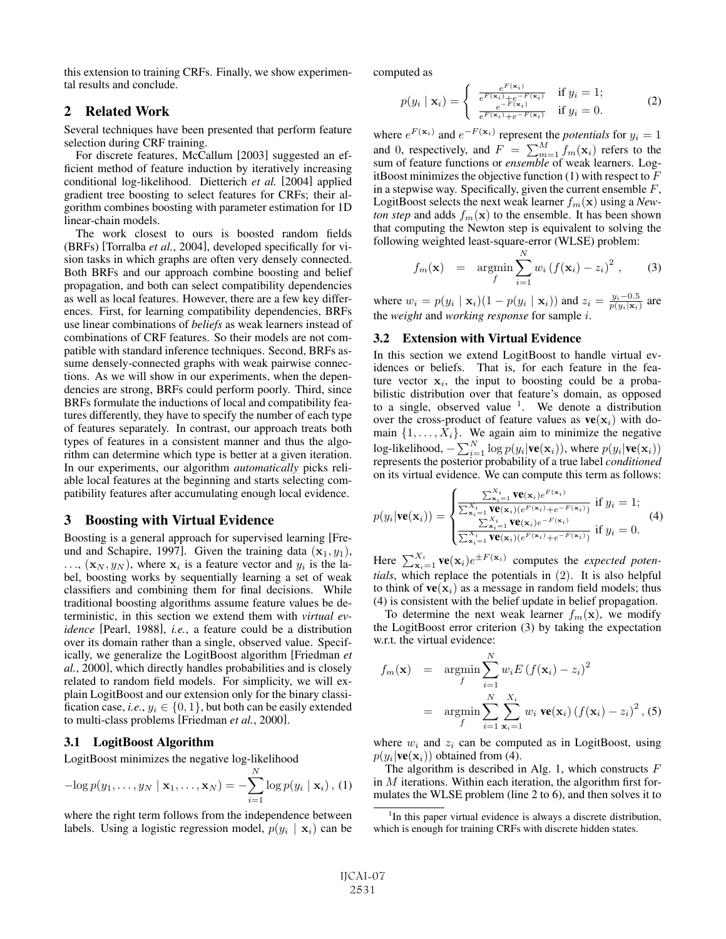this extension to training CRFs. Finally, we show experimental results and conclude.

# 2 Related Work

Several techniques have been presented that perform feature selection during CRF training.

For discrete features, McCallum [2003] suggested an efficient method of feature induction by iteratively increasing conditional log-likelihood. Dietterich *et al.* [2004] applied gradient tree boosting to select features for CRFs; their algorithm combines boosting with parameter estimation for 1D linear-chain models.

The work closest to ours is boosted random fields (BRFs) [Torralba *et al.*, 2004], developed specifically for vision tasks in which graphs are often very densely connected. Both BRFs and our approach combine boosting and belief propagation, and both can select compatibility dependencies as well as local features. However, there are a few key differences. First, for learning compatibility dependencies, BRFs use linear combinations of *beliefs* as weak learners instead of combinations of CRF features. So their models are not compatible with standard inference techniques. Second, BRFs assume densely-connected graphs with weak pairwise connections. As we will show in our experiments, when the dependencies are strong, BRFs could perform poorly. Third, since BRFs formulate the inductions of local and compatibility features differently, they have to specify the number of each type of features separately. In contrast, our approach treats both types of features in a consistent manner and thus the algorithm can determine which type is better at a given iteration. In our experiments, our algorithm *automatically* picks reliable local features at the beginning and starts selecting compatibility features after accumulating enough local evidence.

## 3 Boosting with Virtual Evidence

Boosting is a general approach for supervised learning [Freund and Schapire, 1997]. Given the training data  $(\mathbf{x}_1, y_1)$ ,  $\ldots$ ,  $(\mathbf{x}_N, y_N)$ , where  $\mathbf{x}_i$  is a feature vector and  $y_i$  is the label, boosting works by sequentially learning a set of weak classifiers and combining them for final decisions. While traditional boosting algorithms assume feature values be deterministic, in this section we extend them with *virtual evidence* [Pearl, 1988], *i.e.*, a feature could be a distribution over its domain rather than a single, observed value. Specifically, we generalize the LogitBoost algorithm [Friedman *et al.*, 2000], which directly handles probabilities and is closely related to random field models. For simplicity, we will explain LogitBoost and our extension only for the binary classification case, *i.e.*,  $y_i \in \{0, 1\}$ , but both can be easily extended to multi-class problems [Friedman *et al.*, 2000].

### 3.1 LogitBoost Algorithm

LogitBoost minimizes the negative log-likelihood

$$
-\log p(y_1,\ldots,y_N \mid \mathbf{x}_1,\ldots,\mathbf{x}_N) = -\sum_{i=1}^N \log p(y_i \mid \mathbf{x}_i), (1)
$$

where the right term follows from the independence between labels. Using a logistic regression model,  $p(y_i | \mathbf{x}_i)$  can be computed as

$$
p(y_i \mid \mathbf{x}_i) = \begin{cases} \frac{e^{F(\mathbf{x}_i)}}{e^{F(\mathbf{x}_i)} + e^{-F(\mathbf{x}_i)}} & \text{if } y_i = 1; \\ \frac{e^{-F(\mathbf{x}_i)}}{e^{F(\mathbf{x}_i)} + e^{-F(\mathbf{x}_i)}} & \text{if } y_i = 0. \end{cases}
$$
 (2)

where  $e^{F(\mathbf{x}_i)}$  and  $e^{-F(\mathbf{x}_i)}$  represent the *potentials* for  $y_i = 1$ <br>and 0, representively and  $F = \sum M$ ,  $f(x_i)$  refers to the and 0, respectively, and  $F = \sum_{m=1}^{M} f_m(\mathbf{x}_i)$  refers to the sum of feature functions or *ensemble* of weak learners I ogsum of feature functions or *ensemble* of weak learners. LogitBoost minimizes the objective function  $(1)$  with respect to  $F$ in a stepwise way. Specifically, given the current ensemble  $F$ , LogitBoost selects the next weak learner  $f_m(\mathbf{x})$  using a *Newton step* and adds  $f_m(\mathbf{x})$  to the ensemble. It has been shown that computing the Newton step is equivalent to solving the following weighted least-square-error (WLSE) problem:

$$
f_m(\mathbf{x}) = \operatorname*{argmin}_{f} \sum_{i=1}^{N} w_i (f(\mathbf{x}_i) - z_i)^2 , \qquad (3)
$$

where  $w_i = p(y_i | \mathbf{x}_i)(1 - p(y_i | \mathbf{x}_i))$  and  $z_i = \frac{y_i - 0.5}{p(y_i | \mathbf{x}_i)}$  are the *weight* and *working response* for sample i.

### 3.2 Extension with Virtual Evidence

In this section we extend LogitBoost to handle virtual evidences or beliefs. That is, for each feature in the feature vector  $x_i$ , the input to boosting could be a probabilistic distribution over that feature's domain, as opposed to a single, observed value  $1$ . We denote a distribution over the cross-product of feature values as  $ve(x_i)$  with do-<br>main  $\{1, \ldots, X_i\}$ . We again aim to minimize the negative main  $\{1, \ldots, \hat{X}_i\}$ . We again aim to minimize the negative log-likelihood,  $-\sum_{i=1}^{N} \log p(y_i|\mathbf{ve}(\mathbf{x}_i))$ , where  $p(y_i|\mathbf{ve}(\mathbf{x}_i))$  represents the posterior probability of a true label *conditioned* on its virtual evidence. We can compute this term as follows:

$$
p(y_i|\mathbf{ve}(\mathbf{x}_i)) = \begin{cases} \frac{\sum_{\mathbf{x}_i=1}^{X_i} \mathbf{ve}(\mathbf{x}_i) e^{F(\mathbf{x}_i)}}{\sum_{\mathbf{x}_i=1}^{X_i} \mathbf{ve}(\mathbf{x}_i) (e^{F(\mathbf{x}_i)} + e^{-F(\mathbf{x}_i)})} & \text{if } y_i = 1; \\ \frac{\sum_{\mathbf{x}_i=1}^{X_i} \mathbf{ve}(\mathbf{x}_i) (e^{F(\mathbf{x}_i)} + e^{-F(\mathbf{x}_i)})}{\sum_{\mathbf{x}_i=1}^{X_i} \mathbf{ve}(\mathbf{x}_i) (e^{F(\mathbf{x}_i)} + e^{-F(\mathbf{x}_i)})} & \text{if } y_i = 0. \end{cases} (4)
$$

Here  $\sum_{\mathbf{x}_i=1}^{X_i} \mathbf{ve}(\mathbf{x}_i) e^{\pm F(\mathbf{x}_i)}$  computes the *expected potentials* which replace the potentials in (2). It is also helpful *tials*, which replace the potentials in (2). It is also helpful to think of  $ve(x_i)$  as a message in random field models; thus (4) is consistent with the belief update in belief propagation.

To determine the next weak learner  $f_m(\mathbf{x})$ , we modify the LogitBoost error criterion (3) by taking the expectation w.r.t. the virtual evidence:

$$
f_m(\mathbf{x}) = \underset{f}{\operatorname{argmin}} \sum_{i=1}^{N} w_i E \left( f(\mathbf{x}_i) - z_i \right)^2
$$

$$
= \underset{f}{\operatorname{argmin}} \sum_{i=1}^{N} \sum_{\mathbf{x}_i=1}^{X_i} w_i \mathbf{ve}(\mathbf{x}_i) \left( f(\mathbf{x}_i) - z_i \right)^2, (5)
$$

where  $w_i$  and  $z_i$  can be computed as in LogitBoost, using  $p(y_i|\mathbf{ve}(\mathbf{x}_i))$  obtained from (4).

The algorithm is described in Alg. 1, which constructs  $F$ in  $M$  iterations. Within each iteration, the algorithm first formulates the WLSE problem (line 2 to 6), and then solves it to

<sup>&</sup>lt;sup>1</sup>In this paper virtual evidence is always a discrete distribution, which is enough for training CRFs with discrete hidden states.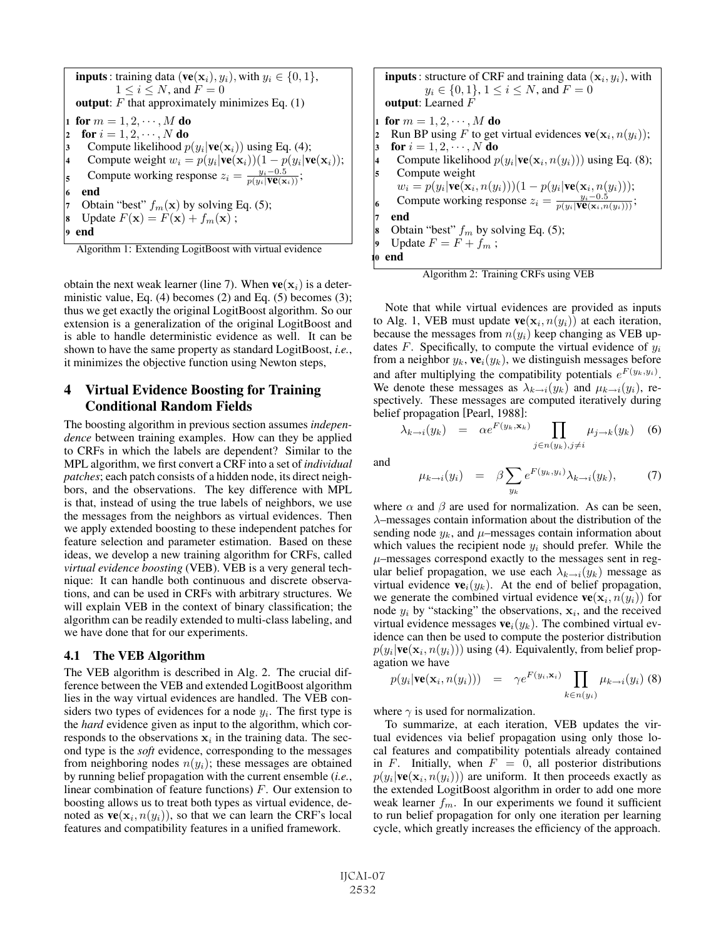**inputs**: training data (**ve**( $\mathbf{x}_i$ ),  $y_i$ ), with  $y_i \in \{0, 1\}$ ,  $1 \leq i \leq N$ , and  $F = 0$ output:  $F$  that approximately minimizes Eq. (1) 1 for  $m = 1, 2, \dots, M$  do<br>2 for  $i = 1, 2, \dots, N$  do for  $i = 1, 2, \dots, N$  do Compute likelihood  $p(y_i | \mathbf{ve}(\mathbf{x}_i))$  using Eq. (4); Compute weight  $w_i = p(y_i|\mathbf{ve}(\mathbf{x}_i))(1 - p(y_i|\mathbf{ve}(\mathbf{x}_i));$ **c** compute working response  $z_i = \frac{y_i - 0.5}{p(y_i|\mathbf{ve}(\mathbf{x}_i))}$ ; end Obtain "best"  $f_m(\mathbf{x})$  by solving Eq. (5); Update  $F(\mathbf{x}) = F(\mathbf{x}) + f_m(\mathbf{x})$ ; end

Algorithm 1: Extending LogitBoost with virtual evidence

obtain the next weak learner (line 7). When  $ve(\mathbf{x}_i)$  is a deterministic value, Eq. (4) becomes (2) and Eq. (5) becomes (3); thus we get exactly the original LogitBoost algorithm. So our extension is a generalization of the original LogitBoost and is able to handle deterministic evidence as well. It can be shown to have the same property as standard LogitBoost, *i.e.*, it minimizes the objective function using Newton steps,

# 4 Virtual Evidence Boosting for Training Conditional Random Fields

The boosting algorithm in previous section assumes *independence* between training examples. How can they be applied to CRFs in which the labels are dependent? Similar to the MPL algorithm, we first convert a CRF into a set of *individual patches*; each patch consists of a hidden node, its direct neighbors, and the observations. The key difference with MPL is that, instead of using the true labels of neighbors, we use the messages from the neighbors as virtual evidences. Then we apply extended boosting to these independent patches for feature selection and parameter estimation. Based on these ideas, we develop a new training algorithm for CRFs, called *virtual evidence boosting* (VEB). VEB is a very general technique: It can handle both continuous and discrete observations, and can be used in CRFs with arbitrary structures. We will explain VEB in the context of binary classification; the algorithm can be readily extended to multi-class labeling, and we have done that for our experiments.

#### 4.1 The VEB Algorithm

The VEB algorithm is described in Alg. 2. The crucial difference between the VEB and extended LogitBoost algorithm lies in the way virtual evidences are handled. The VEB considers two types of evidences for a node  $y_i$ . The first type is the *hard* evidence given as input to the algorithm, which corresponds to the observations  $x_i$  in the training data. The second type is the *soft* evidence, corresponding to the messages from neighboring nodes  $n(y_i)$ ; these messages are obtained by running belief propagation with the current ensemble (*i.e.*, linear combination of feature functions)  $F$ . Our extension to boosting allows us to treat both types as virtual evidence, denoted as  $ve(\mathbf{x}_i, n(y_i))$ , so that we can learn the CRF's local features and compatibility features in a unified framework.

**inputs**: structure of CRF and training data  $(\mathbf{x}_i, y_i)$ , with  $y_i \in \{0, 1\}, 1 \le i \le N$ , and  $F = 0$ output: Learned F 1 for  $m = 1, 2, \dots, M$  do<br>2 Run BP using F to get Run BP using F to get virtual evidences  $\mathbf{ve}(\mathbf{x}_i, n(y_i));$ for  $i = 1, 2, \dots, N$  do Compute likelihood  $p(y_i|\mathbf{ve}(\mathbf{x}_i, n(y_i)))$  using Eq. (8); Compute weight  $w_i = p(y_i|\mathbf{ve}(\mathbf{x}_i, n(y_i)))(1-p(y_i|\mathbf{ve}(\mathbf{x}_i, n(y_i))),$ <br>Compute working response  $z_i = \frac{y_i - 0.5}{y_i - 0.5}$ compute working response  $z_i = \frac{y_i - 0.5}{p(y_i|\mathbf{ve}(\mathbf{x}_i,n(y_i)))};$ end Obtain "best"  $f_m$  by solving Eq. (5); Update  $F = F + f_m$ ; end

Algorithm 2: Training CRFs using VEB

Note that while virtual evidences are provided as inputs to Alg. 1, VEB must update  $ve(\mathbf{x}_i, n(y_i))$  at each iteration, because the messages from  $n(y_i)$  keep changing as VEB updates  $F$ . Specifically, to compute the virtual evidence of  $y_i$ from a neighbor  $y_k$ ,  $ve_i(y_k)$ , we distinguish messages before and after multiplying the compatibility potentials  $e^{F(y_k, y_i)}$ . We denote these messages as  $\lambda_{k\rightarrow i}(y_k)$  and  $\mu_{k\rightarrow i}(y_i)$ , respectively. These messages are computed iteratively during belief propagation [Pearl, 1988]:

$$
\lambda_{k \to i}(y_k) = \alpha e^{F(y_k, \mathbf{x}_k)} \prod_{j \in n(y_k), j \neq i} \mu_{j \to k}(y_k) \quad (6)
$$

and

$$
\mu_{k \to i}(y_i) = \beta \sum_{y_k} e^{F(y_k, y_i)} \lambda_{k \to i}(y_k), \quad (7)
$$

where  $\alpha$  and  $\beta$  are used for normalization. As can be seen, λ–messages contain information about the distribution of the sending node  $y_k$ , and  $\mu$ –messages contain information about which values the recipient node  $y_i$  should prefer. While the  $\mu$ –messages correspond exactly to the messages sent in regular belief propagation, we use each  $\lambda_{k\rightarrow i}(y_k)$  message as virtual evidence  $ve_i(y_k)$ . At the end of belief propagation, we generate the combined virtual evidence  $\mathbf{ve}(\mathbf{x}_i, n(y_i))$  for node  $y_i$  by "stacking" the observations,  $x_i$ , and the received virtual evidence messages  $ve_i(y_k)$ . The combined virtual evidence can then be used to compute the posterior distribution  $p(y_i|\mathbf{ve}(\mathbf{x}_i,n(y_i)))$  using (4). Equivalently, from belief propagation we have

$$
p(y_i|\mathbf{ve}(\mathbf{x}_i,n(y_i))) = \gamma e^{F(y_i,\mathbf{x}_i)} \prod_{k \in n(y_i)} \mu_{k \to i}(y_i)
$$
 (8)

where  $\gamma$  is used for normalization.

To summarize, at each iteration, VEB updates the virtual evidences via belief propagation using only those local features and compatibility potentials already contained in F. Initially, when  $F = 0$ , all posterior distributions  $p(y_i|\mathbf{ve}(\mathbf{x}_i, n(y_i)))$  are uniform. It then proceeds exactly as the extended LogitBoost algorithm in order to add one more weak learner  $f_m$ . In our experiments we found it sufficient to run belief propagation for only one iteration per learning cycle, which greatly increases the efficiency of the approach.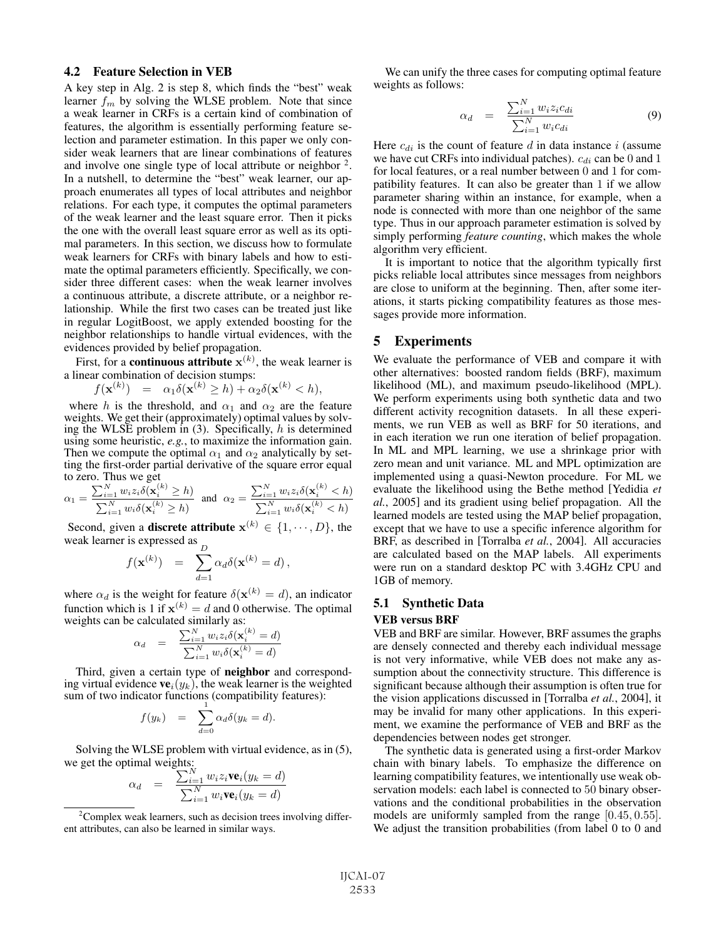#### 4.2 Feature Selection in VEB

A key step in Alg. 2 is step 8, which finds the "best" weak learner  $f_m$  by solving the WLSE problem. Note that since a weak learner in CRFs is a certain kind of combination of features, the algorithm is essentially performing feature selection and parameter estimation. In this paper we only consider weak learners that are linear combinations of features and involve one single type of local attribute or neighbor  $2$ . In a nutshell, to determine the "best" weak learner, our approach enumerates all types of local attributes and neighbor relations. For each type, it computes the optimal parameters of the weak learner and the least square error. Then it picks the one with the overall least square error as well as its optimal parameters. In this section, we discuss how to formulate weak learners for CRFs with binary labels and how to estimate the optimal parameters efficiently. Specifically, we consider three different cases: when the weak learner involves a continuous attribute, a discrete attribute, or a neighbor relationship. While the first two cases can be treated just like in regular LogitBoost, we apply extended boosting for the neighbor relationships to handle virtual evidences, with the evidences provided by belief propagation.

First, for a **continuous attribute**  $\mathbf{x}^{(k)}$ , the weak learner is a linear combination of decision stumps:

 $f(\mathbf{x}^{(k)}) = \alpha_1 \delta(\mathbf{x}^{(k)} \geq h) + \alpha_2 \delta(\mathbf{x}^{(k)} < h),$ 

where h is the threshold, and  $\alpha_1$  and  $\alpha_2$  are the feature weights. We get their (approximately) optimal values by solving the WLSE problem in  $(3)$ . Specifically, h is determined using some heuristic, *e.g.*, to maximize the information gain. Then we compute the optimal  $\alpha_1$  and  $\alpha_2$  analytically by setting the first-order partial derivative of the square error equal to zero. Thus we get

$$
\alpha_1 = \frac{\sum_{i=1}^N w_i z_i \delta(\mathbf{x}_i^{(k)} \ge h)}{\sum_{i=1}^N w_i \delta(\mathbf{x}_i^{(k)} \ge h)} \quad \text{and} \quad \alpha_2 = \frac{\sum_{i=1}^N w_i z_i \delta(\mathbf{x}_i^{(k)} < h)}{\sum_{i=1}^N w_i \delta(\mathbf{x}_i^{(k)} < h)}
$$

Second, given a **discrete attribute**  $x^{(k)} \in \{1, \dots, D\}$ , the weak learner is expressed as  $\overline{D}$ 

$$
f(\mathbf{x}^{(k)}) = \sum_{d=1}^{D} \alpha_d \delta(\mathbf{x}^{(k)} = d),
$$

where  $\alpha_d$  is the weight for feature  $\delta(\mathbf{x}^{(k)} = d)$ , an indicator function which is 1 if  $\mathbf{x}^{(k)} = d$  and 0 otherwise. The optimal weights can be calculated similarly as:

$$
\alpha_d = \frac{\sum_{i=1}^N w_i z_i \delta(\mathbf{x}_i^{(k)} = d)}{\sum_{i=1}^N w_i \delta(\mathbf{x}_i^{(k)} = d)}
$$

Third, given a certain type of neighbor and corresponding virtual evidence  $ve_i(y_k)$ , the weak learner is the weighted sum of two indicator functions (compatibility features):

$$
f(y_k) = \sum_{d=0}^{1} \alpha_d \delta(y_k = d).
$$

Solving the WLSE problem with virtual evidence, as in (5), we get the optimal weights:<br> $\sum_{i=1}^{N}$ 

$$
\alpha_d = \frac{\sum_{i=1}^N w_i z_i \mathbf{ve}_i (y_k = d)}{\sum_{i=1}^N w_i \mathbf{ve}_i (y_k = d)}
$$

We can unify the three cases for computing optimal feature weights as follows:

$$
\alpha_d = \frac{\sum_{i=1}^N w_i z_i c_{di}}{\sum_{i=1}^N w_i c_{di}} \tag{9}
$$

Here  $c_{di}$  is the count of feature d in data instance i (assume we have cut CRFs into individual patches).  $c_{di}$  can be 0 and 1 for local features, or a real number between 0 and 1 for compatibility features. It can also be greater than 1 if we allow parameter sharing within an instance, for example, when a node is connected with more than one neighbor of the same type. Thus in our approach parameter estimation is solved by simply performing *feature counting*, which makes the whole algorithm very efficient.

It is important to notice that the algorithm typically first picks reliable local attributes since messages from neighbors are close to uniform at the beginning. Then, after some iterations, it starts picking compatibility features as those messages provide more information.

# 5 Experiments

We evaluate the performance of VEB and compare it with other alternatives: boosted random fields (BRF), maximum likelihood (ML), and maximum pseudo-likelihood (MPL). We perform experiments using both synthetic data and two different activity recognition datasets. In all these experiments, we run VEB as well as BRF for 50 iterations, and in each iteration we run one iteration of belief propagation. In ML and MPL learning, we use a shrinkage prior with zero mean and unit variance. ML and MPL optimization are implemented using a quasi-Newton procedure. For ML we evaluate the likelihood using the Bethe method [Yedidia *et al.*, 2005] and its gradient using belief propagation. All the learned models are tested using the MAP belief propagation, except that we have to use a specific inference algorithm for BRF, as described in [Torralba *et al.*, 2004]. All accuracies are calculated based on the MAP labels. All experiments were run on a standard desktop PC with 3.4GHz CPU and 1GB of memory.

# 5.1 Synthetic Data VEB versus BRF

VEB and BRF are similar. However, BRF assumes the graphs are densely connected and thereby each individual message is not very informative, while VEB does not make any assumption about the connectivity structure. This difference is significant because although their assumption is often true for the vision applications discussed in [Torralba *et al.*, 2004], it may be invalid for many other applications. In this experiment, we examine the performance of VEB and BRF as the dependencies between nodes get stronger.

The synthetic data is generated using a first-order Markov chain with binary labels. To emphasize the difference on learning compatibility features, we intentionally use weak observation models: each label is connected to 50 binary observations and the conditional probabilities in the observation models are uniformly sampled from the range [0.45, 0.55]. We adjust the transition probabilities (from label 0 to 0 and

<sup>&</sup>lt;sup>2</sup> Complex weak learners, such as decision trees involving different attributes, can also be learned in similar ways.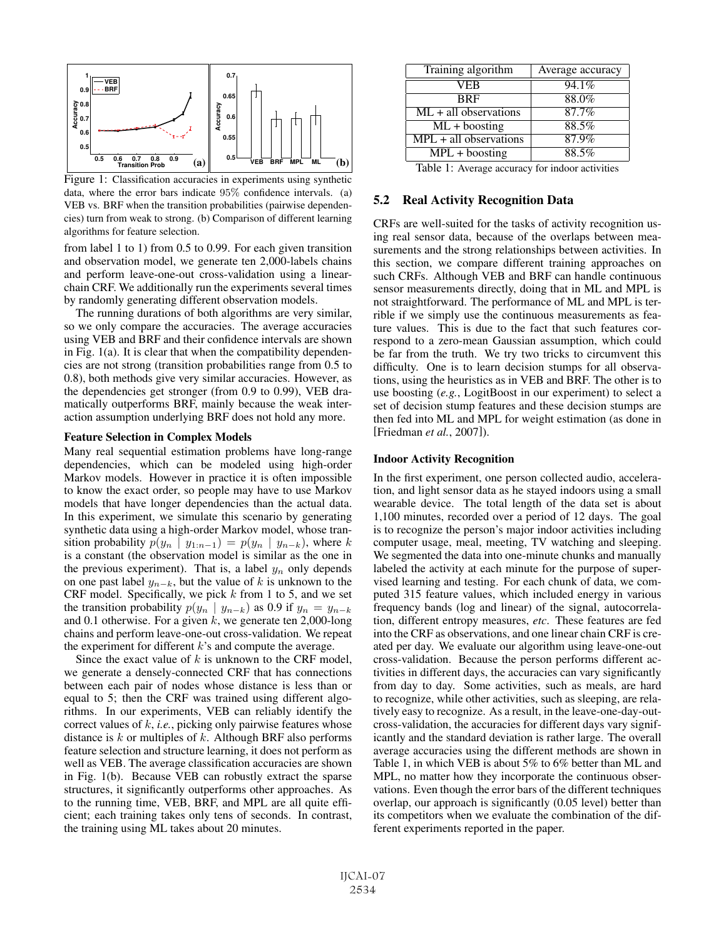

Figure 1: Classification accuracies in experiments using synthetic data, where the error bars indicate 95% confidence intervals. (a) VEB vs. BRF when the transition probabilities (pairwise dependencies) turn from weak to strong. (b) Comparison of different learning algorithms for feature selection.

from label 1 to 1) from 0.5 to 0.99. For each given transition and observation model, we generate ten 2,000-labels chains and perform leave-one-out cross-validation using a linearchain CRF. We additionally run the experiments several times by randomly generating different observation models.

The running durations of both algorithms are very similar, so we only compare the accuracies. The average accuracies using VEB and BRF and their confidence intervals are shown in Fig.  $1(a)$ . It is clear that when the compatibility dependencies are not strong (transition probabilities range from 0.5 to 0.8), both methods give very similar accuracies. However, as the dependencies get stronger (from 0.9 to 0.99), VEB dramatically outperforms BRF, mainly because the weak interaction assumption underlying BRF does not hold any more.

#### Feature Selection in Complex Models

Many real sequential estimation problems have long-range dependencies, which can be modeled using high-order Markov models. However in practice it is often impossible to know the exact order, so people may have to use Markov models that have longer dependencies than the actual data. In this experiment, we simulate this scenario by generating synthetic data using a high-order Markov model, whose transition probability  $p(y_n | y_{1:n-1}) = p(y_n | y_{n-k})$ , where k is a constant (the observation model is similar as the one in the previous experiment). That is, a label  $y_n$  only depends on one past label  $y_{n-k}$ , but the value of k is unknown to the CRF model. Specifically, we pick  $k$  from 1 to 5, and we set the transition probability  $p(y_n | y_{n-k})$  as 0.9 if  $y_n = y_{n-k}$ and 0.1 otherwise. For a given  $k$ , we generate ten 2,000-long chains and perform leave-one-out cross-validation. We repeat the experiment for different  $k$ 's and compute the average.

Since the exact value of  $k$  is unknown to the CRF model, we generate a densely-connected CRF that has connections between each pair of nodes whose distance is less than or equal to 5; then the CRF was trained using different algorithms. In our experiments, VEB can reliably identify the correct values of k, *i.e.*, picking only pairwise features whose distance is  $k$  or multiples of  $k$ . Although BRF also performs feature selection and structure learning, it does not perform as well as VEB. The average classification accuracies are shown in Fig. 1(b). Because VEB can robustly extract the sparse structures, it significantly outperforms other approaches. As to the running time, VEB, BRF, and MPL are all quite efficient; each training takes only tens of seconds. In contrast, the training using ML takes about 20 minutes.

| Average accuracy |
|------------------|
| 94.1%            |
| 88.0%            |
| 87.7%            |
| 88.5%            |
| 87.9%            |
| 88.5%            |
|                  |

Table 1: Average accuracy for indoor activities

## 5.2 Real Activity Recognition Data

CRFs are well-suited for the tasks of activity recognition using real sensor data, because of the overlaps between measurements and the strong relationships between activities. In this section, we compare different training approaches on such CRFs. Although VEB and BRF can handle continuous sensor measurements directly, doing that in ML and MPL is not straightforward. The performance of ML and MPL is terrible if we simply use the continuous measurements as feature values. This is due to the fact that such features correspond to a zero-mean Gaussian assumption, which could be far from the truth. We try two tricks to circumvent this difficulty. One is to learn decision stumps for all observations, using the heuristics as in VEB and BRF. The other is to use boosting (*e.g.*, LogitBoost in our experiment) to select a set of decision stump features and these decision stumps are then fed into ML and MPL for weight estimation (as done in [Friedman *et al.*, 2007]).

#### Indoor Activity Recognition

In the first experiment, one person collected audio, acceleration, and light sensor data as he stayed indoors using a small wearable device. The total length of the data set is about 1,100 minutes, recorded over a period of 12 days. The goal is to recognize the person's major indoor activities including computer usage, meal, meeting, TV watching and sleeping. We segmented the data into one-minute chunks and manually labeled the activity at each minute for the purpose of supervised learning and testing. For each chunk of data, we computed 315 feature values, which included energy in various frequency bands (log and linear) of the signal, autocorrelation, different entropy measures, *etc*. These features are fed into the CRF as observations, and one linear chain CRF is created per day. We evaluate our algorithm using leave-one-out cross-validation. Because the person performs different activities in different days, the accuracies can vary significantly from day to day. Some activities, such as meals, are hard to recognize, while other activities, such as sleeping, are relatively easy to recognize. As a result, in the leave-one-day-outcross-validation, the accuracies for different days vary significantly and the standard deviation is rather large. The overall average accuracies using the different methods are shown in Table 1, in which VEB is about 5% to 6% better than ML and MPL, no matter how they incorporate the continuous observations. Even though the error bars of the different techniques overlap, our approach is significantly (0.05 level) better than its competitors when we evaluate the combination of the different experiments reported in the paper.